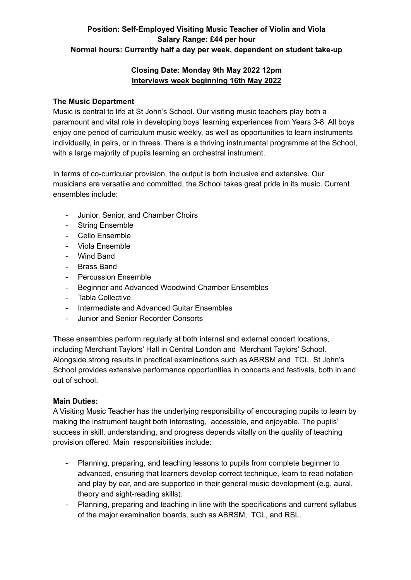# **Position: Self-Employed Visiting Music Teacher of Violin and Viola Salary Range: £44 per hour Normal hours: Currently half a day per week, dependent on student take-up**

## **Closing Date: Monday 9th May 2022 12pm Interviews week beginning 16th May 2022**

## **The Music Department**

Music is central to life at St John's School. Our visiting music teachers play both a paramount and vital role in developing boys' learning experiences from Years 3-8. All boys enjoy one period of curriculum music weekly, as well as opportunities to learn instruments individually, in pairs, or in threes. There is a thriving instrumental programme at the School, with a large majority of pupils learning an orchestral instrument.

In terms of co-curricular provision, the output is both inclusive and extensive. Our musicians are versatile and committed, the School takes great pride in its music. Current ensembles include:

- Junior, Senior, and Chamber Choirs
- String Ensemble
- Cello Ensemble
- Viola Ensemble
- Wind Band
- Brass Band
- Percussion Ensemble
- Beginner and Advanced Woodwind Chamber Ensembles
- Tabla Collective
- Intermediate and Advanced Guitar Ensembles
- Junior and Senior Recorder Consorts

These ensembles perform regularly at both internal and external concert locations, including Merchant Taylors' Hall in Central London and Merchant Taylors' School. Alongside strong results in practical examinations such as ABRSM and TCL, St John's School provides extensive performance opportunities in concerts and festivals, both in and out of school.

### **Main Duties:**

A Visiting Music Teacher has the underlying responsibility of encouraging pupils to learn by making the instrument taught both interesting, accessible, and enjoyable. The pupils' success in skill, understanding, and progress depends vitally on the quality of teaching provision offered. Main responsibilities include:

- Planning, preparing, and teaching lessons to pupils from complete beginner to advanced, ensuring that learners develop correct technique, learn to read notation and play by ear, and are supported in their general music development (e.g. aural, theory and sight-reading skills).
- Planning, preparing and teaching in line with the specifications and current syllabus of the major examination boards, such as ABRSM, TCL, and RSL.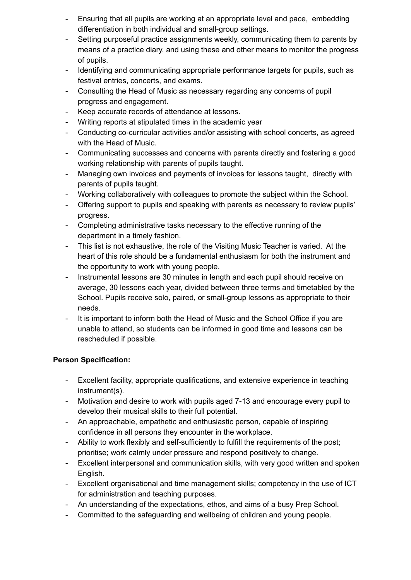- Ensuring that all pupils are working at an appropriate level and pace, embedding differentiation in both individual and small-group settings.
- Setting purposeful practice assignments weekly, communicating them to parents by means of a practice diary, and using these and other means to monitor the progress of pupils.
- Identifying and communicating appropriate performance targets for pupils, such as festival entries, concerts, and exams.
- Consulting the Head of Music as necessary regarding any concerns of pupil progress and engagement.
- Keep accurate records of attendance at lessons.
- Writing reports at stipulated times in the academic year
- Conducting co-curricular activities and/or assisting with school concerts, as agreed with the Head of Music.
- Communicating successes and concerns with parents directly and fostering a good working relationship with parents of pupils taught.
- Managing own invoices and payments of invoices for lessons taught, directly with parents of pupils taught.
- Working collaboratively with colleagues to promote the subject within the School.
- Offering support to pupils and speaking with parents as necessary to review pupils' progress.
- Completing administrative tasks necessary to the effective running of the department in a timely fashion.
- This list is not exhaustive, the role of the Visiting Music Teacher is varied. At the heart of this role should be a fundamental enthusiasm for both the instrument and the opportunity to work with young people.
- Instrumental lessons are 30 minutes in length and each pupil should receive on average, 30 lessons each year, divided between three terms and timetabled by the School. Pupils receive solo, paired, or small-group lessons as appropriate to their needs.
- It is important to inform both the Head of Music and the School Office if you are unable to attend, so students can be informed in good time and lessons can be rescheduled if possible.

### **Person Specification:**

- Excellent facility, appropriate qualifications, and extensive experience in teaching instrument(s).
- Motivation and desire to work with pupils aged 7-13 and encourage every pupil to develop their musical skills to their full potential.
- An approachable, empathetic and enthusiastic person, capable of inspiring confidence in all persons they encounter in the workplace.
- Ability to work flexibly and self-sufficiently to fulfill the requirements of the post; prioritise; work calmly under pressure and respond positively to change.
- Excellent interpersonal and communication skills, with very good written and spoken English.
- Excellent organisational and time management skills; competency in the use of ICT for administration and teaching purposes.
- An understanding of the expectations, ethos, and aims of a busy Prep School.
- Committed to the safeguarding and wellbeing of children and young people.